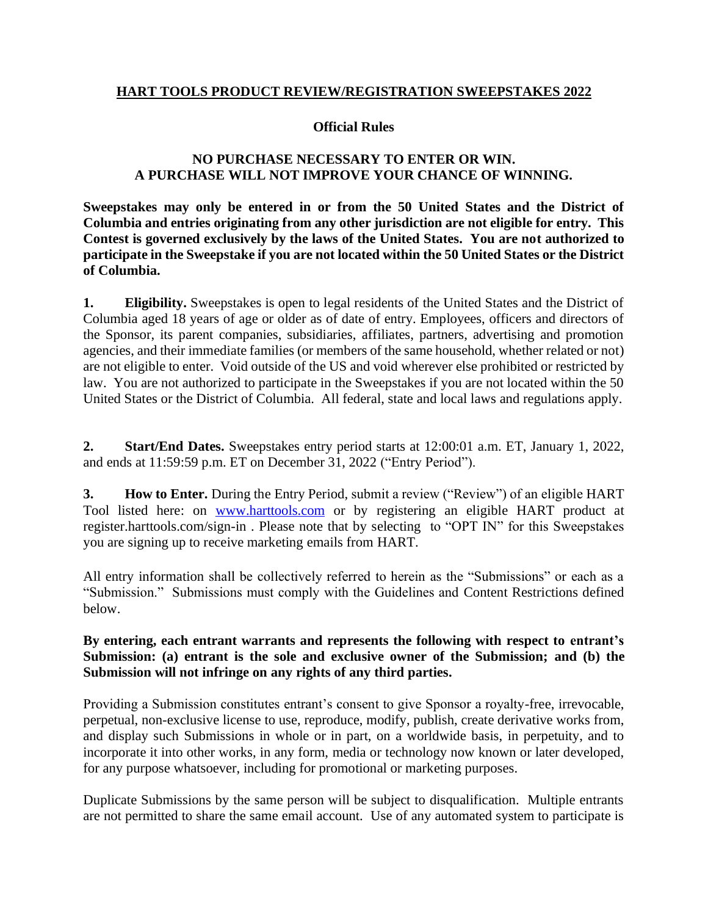#### **HART TOOLS PRODUCT REVIEW/REGISTRATION SWEEPSTAKES 2022**

#### **Official Rules**

## **NO PURCHASE NECESSARY TO ENTER OR WIN. A PURCHASE WILL NOT IMPROVE YOUR CHANCE OF WINNING.**

**Sweepstakes may only be entered in or from the 50 United States and the District of Columbia and entries originating from any other jurisdiction are not eligible for entry. This Contest is governed exclusively by the laws of the United States. You are not authorized to participate in the Sweepstake if you are not located within the 50 United States or the District of Columbia.** 

**1. Eligibility.** Sweepstakes is open to legal residents of the United States and the District of Columbia aged 18 years of age or older as of date of entry. Employees, officers and directors of the Sponsor, its parent companies, subsidiaries, affiliates, partners, advertising and promotion agencies, and their immediate families (or members of the same household, whether related or not) are not eligible to enter. Void outside of the US and void wherever else prohibited or restricted by law. You are not authorized to participate in the Sweepstakes if you are not located within the 50 United States or the District of Columbia. All federal, state and local laws and regulations apply.

**2. Start/End Dates.** Sweepstakes entry period starts at 12:00:01 a.m. ET, January 1, 2022, and ends at 11:59:59 p.m. ET on December 31, 2022 ("Entry Period").

**3. How to Enter.** During the Entry Period, submit a review ("Review") of an eligible HART Tool listed here: on [www.harttools.com](http://www.harttools.com/) or by registering an eligible HART product at register.harttools.com/sign-in . Please note that by selecting to "OPT IN" for this Sweepstakes you are signing up to receive marketing emails from HART.

All entry information shall be collectively referred to herein as the "Submissions" or each as a "Submission." Submissions must comply with the Guidelines and Content Restrictions defined below.

## **By entering, each entrant warrants and represents the following with respect to entrant's Submission: (a) entrant is the sole and exclusive owner of the Submission; and (b) the Submission will not infringe on any rights of any third parties.**

Providing a Submission constitutes entrant's consent to give Sponsor a royalty-free, irrevocable, perpetual, non-exclusive license to use, reproduce, modify, publish, create derivative works from, and display such Submissions in whole or in part, on a worldwide basis, in perpetuity, and to incorporate it into other works, in any form, media or technology now known or later developed, for any purpose whatsoever, including for promotional or marketing purposes.

Duplicate Submissions by the same person will be subject to disqualification. Multiple entrants are not permitted to share the same email account. Use of any automated system to participate is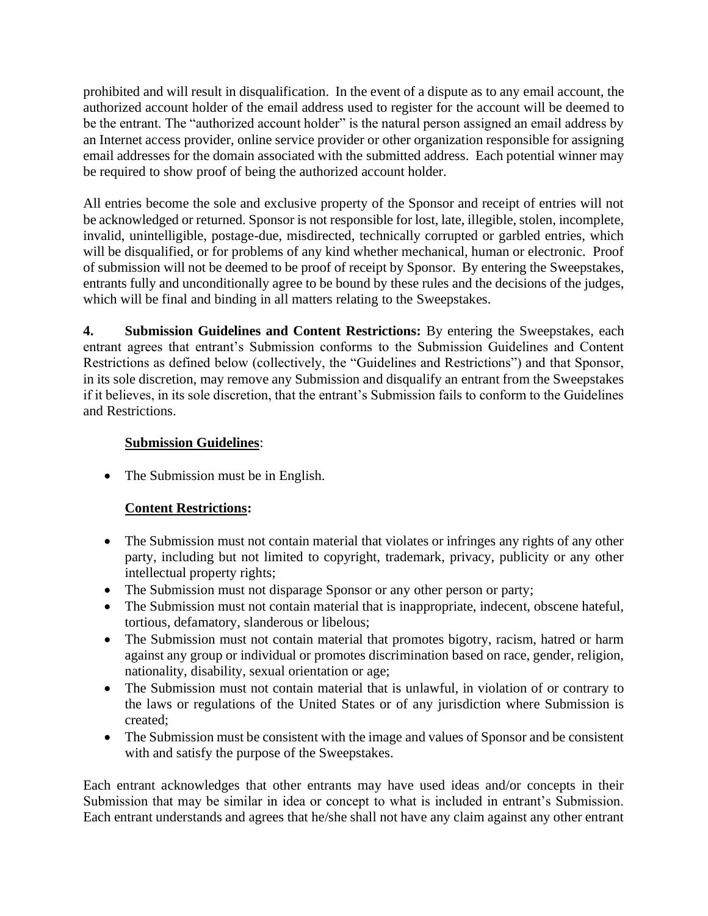prohibited and will result in disqualification. In the event of a dispute as to any email account, the authorized account holder of the email address used to register for the account will be deemed to be the entrant. The "authorized account holder" is the natural person assigned an email address by an Internet access provider, online service provider or other organization responsible for assigning email addresses for the domain associated with the submitted address. Each potential winner may be required to show proof of being the authorized account holder.

All entries become the sole and exclusive property of the Sponsor and receipt of entries will not be acknowledged or returned. Sponsor is not responsible for lost, late, illegible, stolen, incomplete, invalid, unintelligible, postage-due, misdirected, technically corrupted or garbled entries, which will be disqualified, or for problems of any kind whether mechanical, human or electronic. Proof of submission will not be deemed to be proof of receipt by Sponsor. By entering the Sweepstakes, entrants fully and unconditionally agree to be bound by these rules and the decisions of the judges, which will be final and binding in all matters relating to the Sweepstakes.

**4. Submission Guidelines and Content Restrictions:** By entering the Sweepstakes, each entrant agrees that entrant's Submission conforms to the Submission Guidelines and Content Restrictions as defined below (collectively, the "Guidelines and Restrictions") and that Sponsor, in its sole discretion, may remove any Submission and disqualify an entrant from the Sweepstakes if it believes, in its sole discretion, that the entrant's Submission fails to conform to the Guidelines and Restrictions.

# **Submission Guidelines**:

• The Submission must be in English.

# **Content Restrictions:**

- The Submission must not contain material that violates or infringes any rights of any other party, including but not limited to copyright, trademark, privacy, publicity or any other intellectual property rights;
- The Submission must not disparage Sponsor or any other person or party;
- The Submission must not contain material that is inappropriate, indecent, obscene hateful, tortious, defamatory, slanderous or libelous;
- The Submission must not contain material that promotes bigotry, racism, hatred or harm against any group or individual or promotes discrimination based on race, gender, religion, nationality, disability, sexual orientation or age;
- The Submission must not contain material that is unlawful, in violation of or contrary to the laws or regulations of the United States or of any jurisdiction where Submission is created;
- The Submission must be consistent with the image and values of Sponsor and be consistent with and satisfy the purpose of the Sweepstakes.

Each entrant acknowledges that other entrants may have used ideas and/or concepts in their Submission that may be similar in idea or concept to what is included in entrant's Submission. Each entrant understands and agrees that he/she shall not have any claim against any other entrant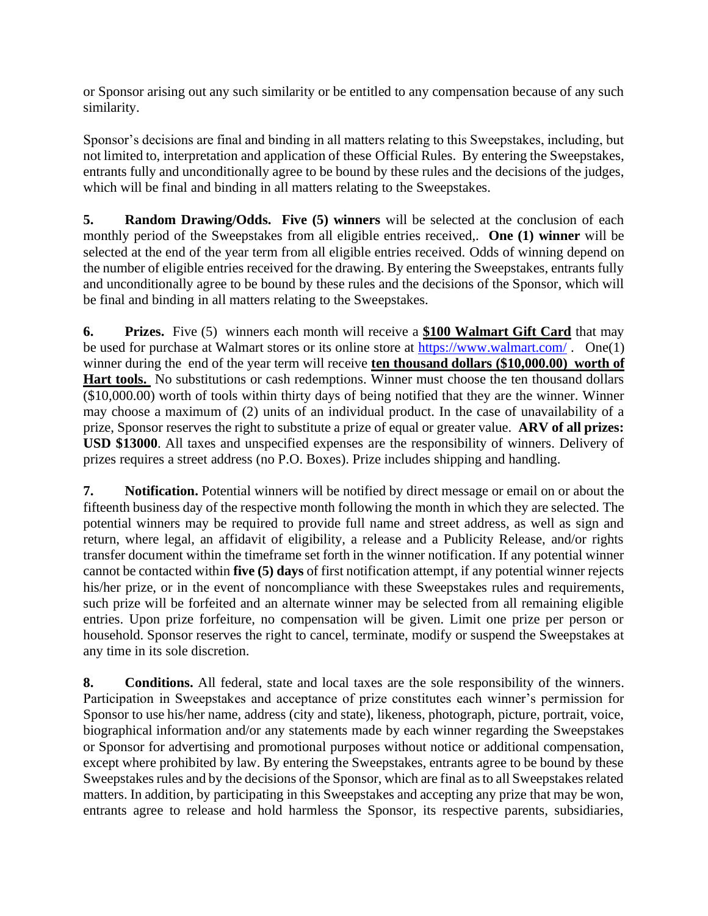or Sponsor arising out any such similarity or be entitled to any compensation because of any such similarity.

Sponsor's decisions are final and binding in all matters relating to this Sweepstakes, including, but not limited to, interpretation and application of these Official Rules. By entering the Sweepstakes, entrants fully and unconditionally agree to be bound by these rules and the decisions of the judges, which will be final and binding in all matters relating to the Sweepstakes.

**5. Random Drawing/Odds. Five (5) winners** will be selected at the conclusion of each monthly period of the Sweepstakes from all eligible entries received,. **One (1) winner** will be selected at the end of the year term from all eligible entries received. Odds of winning depend on the number of eligible entries received for the drawing. By entering the Sweepstakes, entrants fully and unconditionally agree to be bound by these rules and the decisions of the Sponsor, which will be final and binding in all matters relating to the Sweepstakes.

**6. Prizes.** Five (5) winners each month will receive a **\$100 Walmart Gift Card** that may be used for purchase at Walmart stores or its online store at<https://www.walmart.com/>. One(1) winner during the end of the year term will receive **ten thousand dollars (\$10,000.00) worth of**  Hart tools. No substitutions or cash redemptions. Winner must choose the ten thousand dollars (\$10,000.00) worth of tools within thirty days of being notified that they are the winner. Winner may choose a maximum of (2) units of an individual product. In the case of unavailability of a prize, Sponsor reserves the right to substitute a prize of equal or greater value. **ARV of all prizes: USD \$13000**. All taxes and unspecified expenses are the responsibility of winners. Delivery of prizes requires a street address (no P.O. Boxes). Prize includes shipping and handling.

**7. Notification.** Potential winners will be notified by direct message or email on or about the fifteenth business day of the respective month following the month in which they are selected. The potential winners may be required to provide full name and street address, as well as sign and return, where legal, an affidavit of eligibility, a release and a Publicity Release, and/or rights transfer document within the timeframe set forth in the winner notification. If any potential winner cannot be contacted within **five (5) days** of first notification attempt, if any potential winner rejects his/her prize, or in the event of noncompliance with these Sweepstakes rules and requirements, such prize will be forfeited and an alternate winner may be selected from all remaining eligible entries. Upon prize forfeiture, no compensation will be given. Limit one prize per person or household. Sponsor reserves the right to cancel, terminate, modify or suspend the Sweepstakes at any time in its sole discretion.

**8. Conditions.** All federal, state and local taxes are the sole responsibility of the winners. Participation in Sweepstakes and acceptance of prize constitutes each winner's permission for Sponsor to use his/her name, address (city and state), likeness, photograph, picture, portrait, voice, biographical information and/or any statements made by each winner regarding the Sweepstakes or Sponsor for advertising and promotional purposes without notice or additional compensation, except where prohibited by law. By entering the Sweepstakes, entrants agree to be bound by these Sweepstakes rules and by the decisions of the Sponsor, which are final as to all Sweepstakes related matters. In addition, by participating in this Sweepstakes and accepting any prize that may be won, entrants agree to release and hold harmless the Sponsor, its respective parents, subsidiaries,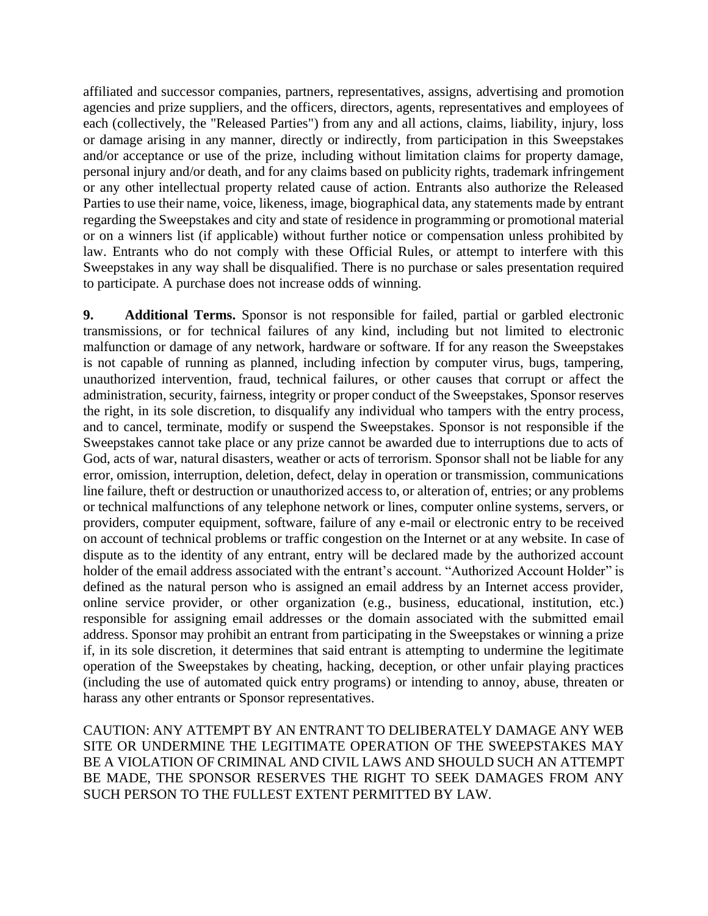affiliated and successor companies, partners, representatives, assigns, advertising and promotion agencies and prize suppliers, and the officers, directors, agents, representatives and employees of each (collectively, the "Released Parties") from any and all actions, claims, liability, injury, loss or damage arising in any manner, directly or indirectly, from participation in this Sweepstakes and/or acceptance or use of the prize, including without limitation claims for property damage, personal injury and/or death, and for any claims based on publicity rights, trademark infringement or any other intellectual property related cause of action. Entrants also authorize the Released Parties to use their name, voice, likeness, image, biographical data, any statements made by entrant regarding the Sweepstakes and city and state of residence in programming or promotional material or on a winners list (if applicable) without further notice or compensation unless prohibited by law. Entrants who do not comply with these Official Rules, or attempt to interfere with this Sweepstakes in any way shall be disqualified. There is no purchase or sales presentation required to participate. A purchase does not increase odds of winning.

**9. Additional Terms.** Sponsor is not responsible for failed, partial or garbled electronic transmissions, or for technical failures of any kind, including but not limited to electronic malfunction or damage of any network, hardware or software. If for any reason the Sweepstakes is not capable of running as planned, including infection by computer virus, bugs, tampering, unauthorized intervention, fraud, technical failures, or other causes that corrupt or affect the administration, security, fairness, integrity or proper conduct of the Sweepstakes, Sponsor reserves the right, in its sole discretion, to disqualify any individual who tampers with the entry process, and to cancel, terminate, modify or suspend the Sweepstakes. Sponsor is not responsible if the Sweepstakes cannot take place or any prize cannot be awarded due to interruptions due to acts of God, acts of war, natural disasters, weather or acts of terrorism. Sponsor shall not be liable for any error, omission, interruption, deletion, defect, delay in operation or transmission, communications line failure, theft or destruction or unauthorized access to, or alteration of, entries; or any problems or technical malfunctions of any telephone network or lines, computer online systems, servers, or providers, computer equipment, software, failure of any e-mail or electronic entry to be received on account of technical problems or traffic congestion on the Internet or at any website. In case of dispute as to the identity of any entrant, entry will be declared made by the authorized account holder of the email address associated with the entrant's account. "Authorized Account Holder" is defined as the natural person who is assigned an email address by an Internet access provider, online service provider, or other organization (e.g., business, educational, institution, etc.) responsible for assigning email addresses or the domain associated with the submitted email address. Sponsor may prohibit an entrant from participating in the Sweepstakes or winning a prize if, in its sole discretion, it determines that said entrant is attempting to undermine the legitimate operation of the Sweepstakes by cheating, hacking, deception, or other unfair playing practices (including the use of automated quick entry programs) or intending to annoy, abuse, threaten or harass any other entrants or Sponsor representatives.

CAUTION: ANY ATTEMPT BY AN ENTRANT TO DELIBERATELY DAMAGE ANY WEB SITE OR UNDERMINE THE LEGITIMATE OPERATION OF THE SWEEPSTAKES MAY BE A VIOLATION OF CRIMINAL AND CIVIL LAWS AND SHOULD SUCH AN ATTEMPT BE MADE, THE SPONSOR RESERVES THE RIGHT TO SEEK DAMAGES FROM ANY SUCH PERSON TO THE FULLEST EXTENT PERMITTED BY LAW.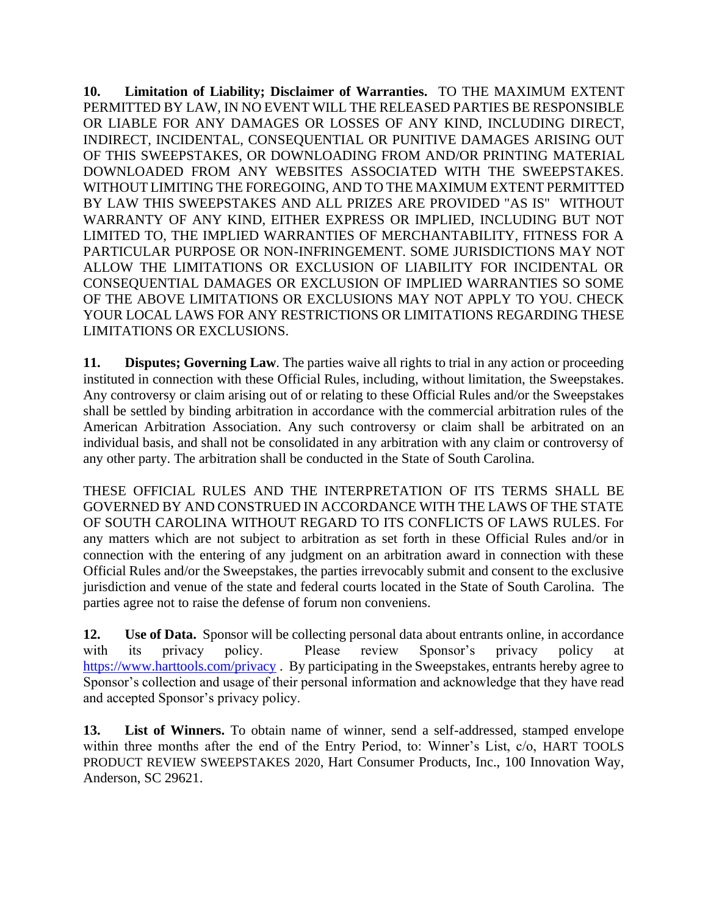**10. Limitation of Liability; Disclaimer of Warranties.** TO THE MAXIMUM EXTENT PERMITTED BY LAW, IN NO EVENT WILL THE RELEASED PARTIES BE RESPONSIBLE OR LIABLE FOR ANY DAMAGES OR LOSSES OF ANY KIND, INCLUDING DIRECT, INDIRECT, INCIDENTAL, CONSEQUENTIAL OR PUNITIVE DAMAGES ARISING OUT OF THIS SWEEPSTAKES, OR DOWNLOADING FROM AND/OR PRINTING MATERIAL DOWNLOADED FROM ANY WEBSITES ASSOCIATED WITH THE SWEEPSTAKES. WITHOUT LIMITING THE FOREGOING, AND TO THE MAXIMUM EXTENT PERMITTED BY LAW THIS SWEEPSTAKES AND ALL PRIZES ARE PROVIDED "AS IS" WITHOUT WARRANTY OF ANY KIND, EITHER EXPRESS OR IMPLIED, INCLUDING BUT NOT LIMITED TO, THE IMPLIED WARRANTIES OF MERCHANTABILITY, FITNESS FOR A PARTICULAR PURPOSE OR NON-INFRINGEMENT. SOME JURISDICTIONS MAY NOT ALLOW THE LIMITATIONS OR EXCLUSION OF LIABILITY FOR INCIDENTAL OR CONSEQUENTIAL DAMAGES OR EXCLUSION OF IMPLIED WARRANTIES SO SOME OF THE ABOVE LIMITATIONS OR EXCLUSIONS MAY NOT APPLY TO YOU. CHECK YOUR LOCAL LAWS FOR ANY RESTRICTIONS OR LIMITATIONS REGARDING THESE LIMITATIONS OR EXCLUSIONS.

**11. Disputes; Governing Law**. The parties waive all rights to trial in any action or proceeding instituted in connection with these Official Rules, including, without limitation, the Sweepstakes. Any controversy or claim arising out of or relating to these Official Rules and/or the Sweepstakes shall be settled by binding arbitration in accordance with the commercial arbitration rules of the American Arbitration Association. Any such controversy or claim shall be arbitrated on an individual basis, and shall not be consolidated in any arbitration with any claim or controversy of any other party. The arbitration shall be conducted in the State of South Carolina.

THESE OFFICIAL RULES AND THE INTERPRETATION OF ITS TERMS SHALL BE GOVERNED BY AND CONSTRUED IN ACCORDANCE WITH THE LAWS OF THE STATE OF SOUTH CAROLINA WITHOUT REGARD TO ITS CONFLICTS OF LAWS RULES. For any matters which are not subject to arbitration as set forth in these Official Rules and/or in connection with the entering of any judgment on an arbitration award in connection with these Official Rules and/or the Sweepstakes, the parties irrevocably submit and consent to the exclusive jurisdiction and venue of the state and federal courts located in the State of South Carolina. The parties agree not to raise the defense of forum non conveniens.

**12. Use of Data.** Sponsor will be collecting personal data about entrants online, in accordance with its privacy policy. Please review Sponsor's privacy policy at <https://www.harttools.com/privacy> . By participating in the Sweepstakes, entrants hereby agree to Sponsor's collection and usage of their personal information and acknowledge that they have read and accepted Sponsor's privacy policy.

**13. List of Winners.** To obtain name of winner, send a self-addressed, stamped envelope within three months after the end of the Entry Period, to: Winner's List, c/o, HART TOOLS PRODUCT REVIEW SWEEPSTAKES 2020, Hart Consumer Products, Inc., 100 Innovation Way, Anderson, SC 29621.